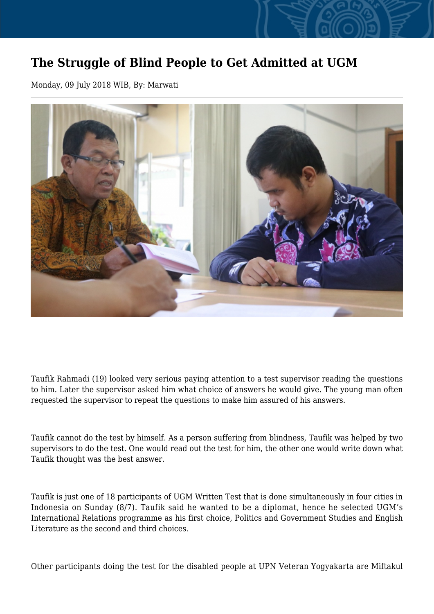## **The Struggle of Blind People to Get Admitted at UGM**

Monday, 09 July 2018 WIB, By: Marwati



Taufik Rahmadi (19) looked very serious paying attention to a test supervisor reading the questions to him. Later the supervisor asked him what choice of answers he would give. The young man often requested the supervisor to repeat the questions to make him assured of his answers.

Taufik cannot do the test by himself. As a person suffering from blindness, Taufik was helped by two supervisors to do the test. One would read out the test for him, the other one would write down what Taufik thought was the best answer.

Taufik is just one of 18 participants of UGM Written Test that is done simultaneously in four cities in Indonesia on Sunday (8/7). Taufik said he wanted to be a diplomat, hence he selected UGM's International Relations programme as his first choice, Politics and Government Studies and English Literature as the second and third choices.

Other participants doing the test for the disabled people at UPN Veteran Yogyakarta are Miftakul